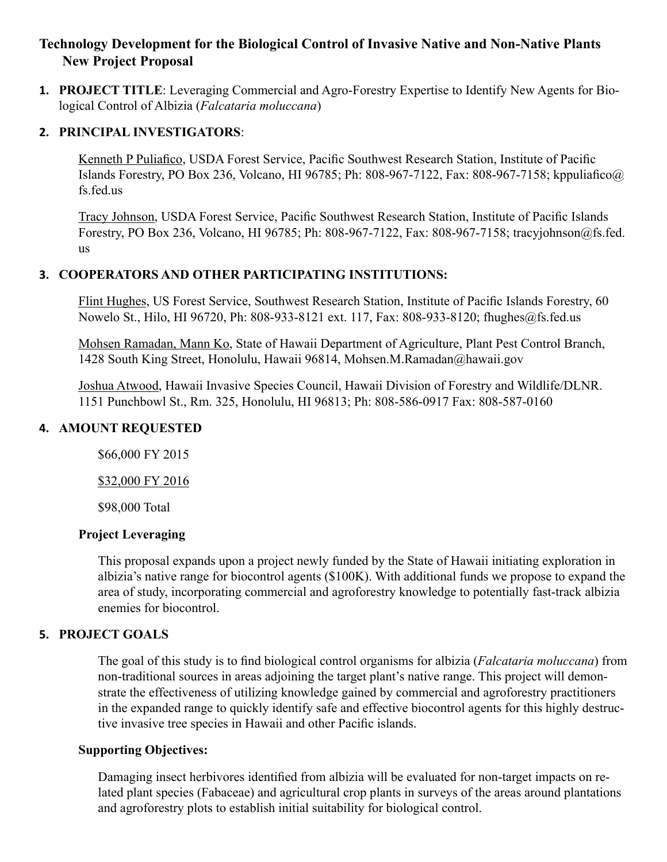# **Technology Development for the Biological Control of Invasive Native and Non-Native Plants New Project Proposal**

**1. PROJECT TITLE**: Leveraging Commercial and Agro-Forestry Expertise to Identify New Agents for Biological Control of Albizia (*Falcataria moluccana*)

#### **2. PRINCIPAL INVESTIGATORS**:

Kenneth P Puliafico, USDA Forest Service, Pacific Southwest Research Station, Institute of Pacific Islands Forestry, PO Box 236, Volcano, HI 96785; Ph: 808-967-7122, Fax: 808-967-7158; kppuliafico@ fs.fed.us

Tracy Johnson, USDA Forest Service, Pacific Southwest Research Station, Institute of Pacific Islands Forestry, PO Box 236, Volcano, HI 96785; Ph: 808-967-7122, Fax: 808-967-7158; tracyjohnson@fs.fed. us

## **3. COOPERATORS AND OTHER PARTICIPATING INSTITUTIONS:**

Flint Hughes, US Forest Service, Southwest Research Station, Institute of Pacific Islands Forestry, 60 Nowelo St., Hilo, HI 96720, Ph: 808-933-8121 ext. 117, Fax: 808-933-8120; fhughes@fs.fed.us

Mohsen Ramadan, Mann Ko, State of Hawaii Department of Agriculture, Plant Pest Control Branch, 1428 South King Street, Honolulu, Hawaii 96814, Mohsen.M.Ramadan@hawaii.gov

Joshua Atwood, Hawaii Invasive Species Council, Hawaii Division of Forestry and Wildlife/DLNR. 1151 Punchbowl St., Rm. 325, Honolulu, HI 96813; Ph: 808-586-0917 Fax: 808-587-0160

# **4. AMOUNT REQUESTED**

\$66,000 FY 2015

\$32,000 FY 2016

\$98,000 Total

## **Project Leveraging**

This proposal expands upon a project newly funded by the State of Hawaii initiating exploration in albizia's native range for biocontrol agents (\$100K). With additional funds we propose to expand the area of study, incorporating commercial and agroforestry knowledge to potentially fast-track albizia enemies for biocontrol.

## **5. PROJECT GOALS**

The goal of this study is to find biological control organisms for albizia (*Falcataria moluccana*) from non-traditional sources in areas adjoining the target plant's native range. This project will demonstrate the effectiveness of utilizing knowledge gained by commercial and agroforestry practitioners in the expanded range to quickly identify safe and effective biocontrol agents for this highly destructive invasive tree species in Hawaii and other Pacific islands.

# **Supporting Objectives:**

Damaging insect herbivores identified from albizia will be evaluated for non-target impacts on related plant species (Fabaceae) and agricultural crop plants in surveys of the areas around plantations and agroforestry plots to establish initial suitability for biological control.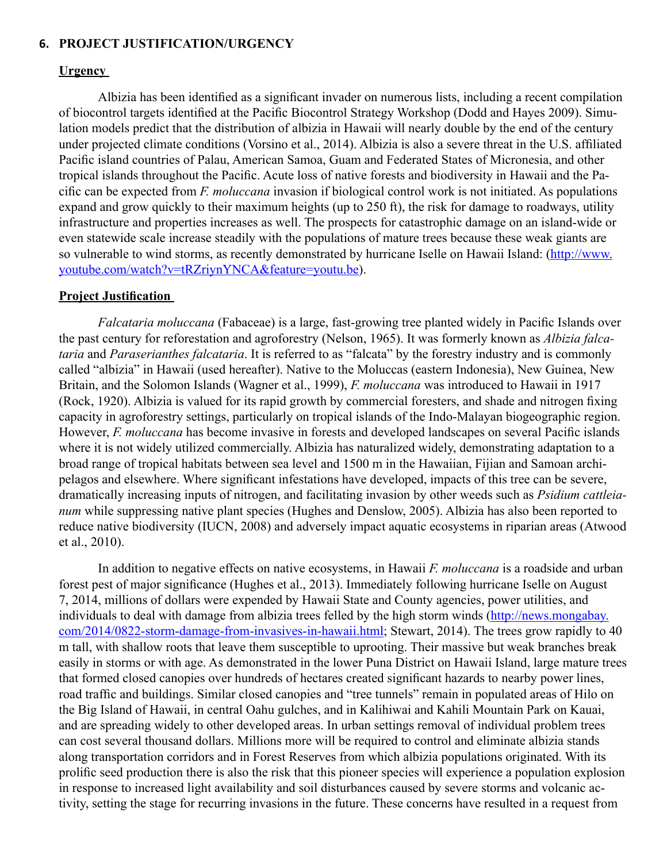#### **6. PROJECT JUSTIFICATION/URGENCY**

#### **Urgency**

Albizia has been identified as a significant invader on numerous lists, including a recent compilation of biocontrol targets identified at the Pacific Biocontrol Strategy Workshop (Dodd and Hayes 2009). Simulation models predict that the distribution of albizia in Hawaii will nearly double by the end of the century under projected climate conditions (Vorsino et al., 2014). Albizia is also a severe threat in the U.S. affiliated Pacific island countries of Palau, American Samoa, Guam and Federated States of Micronesia, and other tropical islands throughout the Pacific. Acute loss of native forests and biodiversity in Hawaii and the Pacific can be expected from *F. moluccana* invasion if biological control work is not initiated. As populations expand and grow quickly to their maximum heights (up to 250 ft), the risk for damage to roadways, utility infrastructure and properties increases as well. The prospects for catastrophic damage on an island-wide or even statewide scale increase steadily with the populations of mature trees because these weak giants are so vulnerable to wind storms, as recently demonstrated by hurricane Iselle on Hawaii Island: ([http://www.](http://www.youtube.com/watch?v=tRZriynYNCA&feature=youtu.be) [youtube.com/watch?v=tRZriynYNCA&feature=youtu.be](http://www.youtube.com/watch?v=tRZriynYNCA&feature=youtu.be)).

#### **Project Justification**

*Falcataria moluccana* (Fabaceae) is a large, fast-growing tree planted widely in Pacific Islands over the past century for reforestation and agroforestry (Nelson, 1965). It was formerly known as *Albizia falcataria* and *Paraserianthes falcataria*. It is referred to as "falcata" by the forestry industry and is commonly called "albizia" in Hawaii (used hereafter). Native to the Moluccas (eastern Indonesia), New Guinea, New Britain, and the Solomon Islands (Wagner et al., 1999), *F. moluccana* was introduced to Hawaii in 1917 (Rock, 1920). Albizia is valued for its rapid growth by commercial foresters, and shade and nitrogen fixing capacity in agroforestry settings, particularly on tropical islands of the Indo-Malayan biogeographic region. However, *F. moluccana* has become invasive in forests and developed landscapes on several Pacific islands where it is not widely utilized commercially. Albizia has naturalized widely, demonstrating adaptation to a broad range of tropical habitats between sea level and 1500 m in the Hawaiian, Fijian and Samoan archipelagos and elsewhere. Where significant infestations have developed, impacts of this tree can be severe, dramatically increasing inputs of nitrogen, and facilitating invasion by other weeds such as *Psidium cattleianum* while suppressing native plant species (Hughes and Denslow, 2005). Albizia has also been reported to reduce native biodiversity (IUCN, 2008) and adversely impact aquatic ecosystems in riparian areas (Atwood et al., 2010).

In addition to negative effects on native ecosystems, in Hawaii *F. moluccana* is a roadside and urban forest pest of major significance (Hughes et al., 2013). Immediately following hurricane Iselle on August 7, 2014, millions of dollars were expended by Hawaii State and County agencies, power utilities, and individuals to deal with damage from albizia trees felled by the high storm winds ([http://news.mongabay.](http://news.mongabay.com/2014/0822-storm-damage-from-invasives-in-hawaii.html) [com/2014/0822-storm-damage-from-invasives-in-hawaii.html](http://news.mongabay.com/2014/0822-storm-damage-from-invasives-in-hawaii.html); Stewart, 2014). The trees grow rapidly to 40 m tall, with shallow roots that leave them susceptible to uprooting. Their massive but weak branches break easily in storms or with age. As demonstrated in the lower Puna District on Hawaii Island, large mature trees that formed closed canopies over hundreds of hectares created significant hazards to nearby power lines, road traffic and buildings. Similar closed canopies and "tree tunnels" remain in populated areas of Hilo on the Big Island of Hawaii, in central Oahu gulches, and in Kalihiwai and Kahili Mountain Park on Kauai, and are spreading widely to other developed areas. In urban settings removal of individual problem trees can cost several thousand dollars. Millions more will be required to control and eliminate albizia stands along transportation corridors and in Forest Reserves from which albizia populations originated. With its prolific seed production there is also the risk that this pioneer species will experience a population explosion in response to increased light availability and soil disturbances caused by severe storms and volcanic activity, setting the stage for recurring invasions in the future. These concerns have resulted in a request from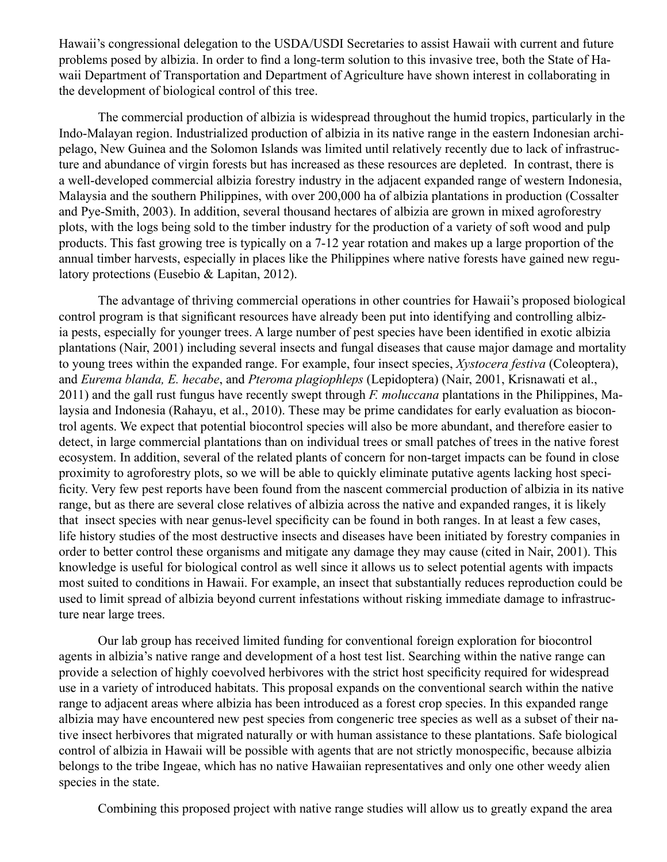Hawaii's congressional delegation to the USDA/USDI Secretaries to assist Hawaii with current and future problems posed by albizia. In order to find a long-term solution to this invasive tree, both the State of Hawaii Department of Transportation and Department of Agriculture have shown interest in collaborating in the development of biological control of this tree.

The commercial production of albizia is widespread throughout the humid tropics, particularly in the Indo-Malayan region. Industrialized production of albizia in its native range in the eastern Indonesian archipelago, New Guinea and the Solomon Islands was limited until relatively recently due to lack of infrastructure and abundance of virgin forests but has increased as these resources are depleted. In contrast, there is a well-developed commercial albizia forestry industry in the adjacent expanded range of western Indonesia, Malaysia and the southern Philippines, with over 200,000 ha of albizia plantations in production (Cossalter and Pye-Smith, 2003). In addition, several thousand hectares of albizia are grown in mixed agroforestry plots, with the logs being sold to the timber industry for the production of a variety of soft wood and pulp products. This fast growing tree is typically on a 7-12 year rotation and makes up a large proportion of the annual timber harvests, especially in places like the Philippines where native forests have gained new regulatory protections (Eusebio & Lapitan, 2012).

The advantage of thriving commercial operations in other countries for Hawaii's proposed biological control program is that significant resources have already been put into identifying and controlling albizia pests, especially for younger trees. A large number of pest species have been identified in exotic albizia plantations (Nair, 2001) including several insects and fungal diseases that cause major damage and mortality to young trees within the expanded range. For example, four insect species, *Xystocera festiva* (Coleoptera), and *Eurema blanda, E. hecabe*, and *Pteroma plagiophleps* (Lepidoptera) (Nair, 2001, Krisnawati et al., 2011) and the gall rust fungus have recently swept through *F. moluccana* plantations in the Philippines, Malaysia and Indonesia (Rahayu, et al., 2010). These may be prime candidates for early evaluation as biocontrol agents. We expect that potential biocontrol species will also be more abundant, and therefore easier to detect, in large commercial plantations than on individual trees or small patches of trees in the native forest ecosystem. In addition, several of the related plants of concern for non-target impacts can be found in close proximity to agroforestry plots, so we will be able to quickly eliminate putative agents lacking host specificity. Very few pest reports have been found from the nascent commercial production of albizia in its native range, but as there are several close relatives of albizia across the native and expanded ranges, it is likely that insect species with near genus-level specificity can be found in both ranges. In at least a few cases, life history studies of the most destructive insects and diseases have been initiated by forestry companies in order to better control these organisms and mitigate any damage they may cause (cited in Nair, 2001). This knowledge is useful for biological control as well since it allows us to select potential agents with impacts most suited to conditions in Hawaii. For example, an insect that substantially reduces reproduction could be used to limit spread of albizia beyond current infestations without risking immediate damage to infrastructure near large trees.

Our lab group has received limited funding for conventional foreign exploration for biocontrol agents in albizia's native range and development of a host test list. Searching within the native range can provide a selection of highly coevolved herbivores with the strict host specificity required for widespread use in a variety of introduced habitats. This proposal expands on the conventional search within the native range to adjacent areas where albizia has been introduced as a forest crop species. In this expanded range albizia may have encountered new pest species from congeneric tree species as well as a subset of their native insect herbivores that migrated naturally or with human assistance to these plantations. Safe biological control of albizia in Hawaii will be possible with agents that are not strictly monospecific, because albizia belongs to the tribe Ingeae, which has no native Hawaiian representatives and only one other weedy alien species in the state.

Combining this proposed project with native range studies will allow us to greatly expand the area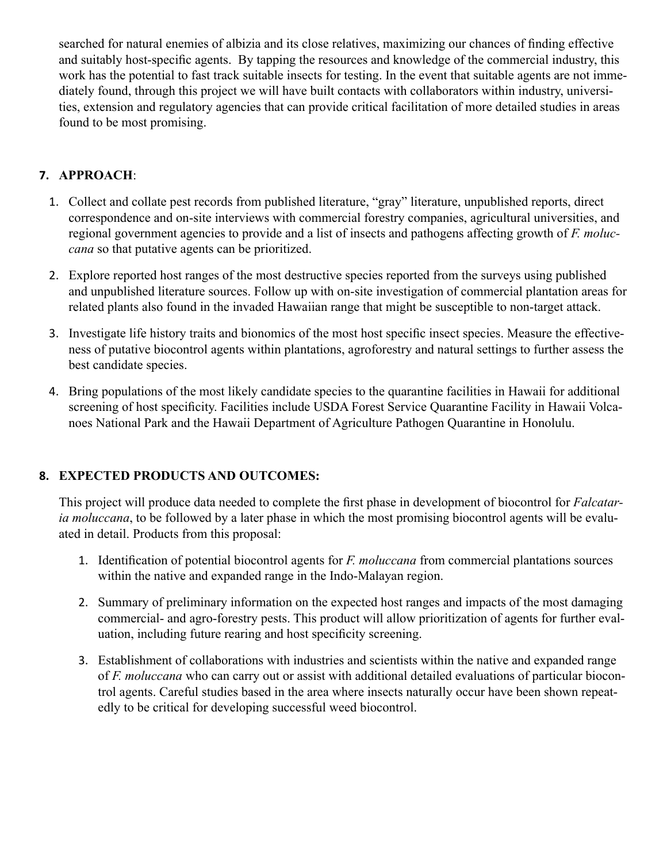searched for natural enemies of albizia and its close relatives, maximizing our chances of finding effective and suitably host-specific agents. By tapping the resources and knowledge of the commercial industry, this work has the potential to fast track suitable insects for testing. In the event that suitable agents are not immediately found, through this project we will have built contacts with collaborators within industry, universities, extension and regulatory agencies that can provide critical facilitation of more detailed studies in areas found to be most promising.

# **7. APPROACH**:

- 1. Collect and collate pest records from published literature, "gray" literature, unpublished reports, direct correspondence and on-site interviews with commercial forestry companies, agricultural universities, and regional government agencies to provide and a list of insects and pathogens affecting growth of *F. moluccana* so that putative agents can be prioritized.
- 2. Explore reported host ranges of the most destructive species reported from the surveys using published and unpublished literature sources. Follow up with on-site investigation of commercial plantation areas for related plants also found in the invaded Hawaiian range that might be susceptible to non-target attack.
- 3. Investigate life history traits and bionomics of the most host specific insect species. Measure the effectiveness of putative biocontrol agents within plantations, agroforestry and natural settings to further assess the best candidate species.
- 4. Bring populations of the most likely candidate species to the quarantine facilities in Hawaii for additional screening of host specificity. Facilities include USDA Forest Service Quarantine Facility in Hawaii Volcanoes National Park and the Hawaii Department of Agriculture Pathogen Quarantine in Honolulu.

# **8. EXPECTED PRODUCTS AND OUTCOMES:**

This project will produce data needed to complete the first phase in development of biocontrol for *Falcataria moluccana*, to be followed by a later phase in which the most promising biocontrol agents will be evaluated in detail. Products from this proposal:

- 1. Identification of potential biocontrol agents for *F. moluccana* from commercial plantations sources within the native and expanded range in the Indo-Malayan region.
- 2. Summary of preliminary information on the expected host ranges and impacts of the most damaging commercial- and agro-forestry pests. This product will allow prioritization of agents for further evaluation, including future rearing and host specificity screening.
- 3. Establishment of collaborations with industries and scientists within the native and expanded range of *F. moluccana* who can carry out or assist with additional detailed evaluations of particular biocontrol agents. Careful studies based in the area where insects naturally occur have been shown repeatedly to be critical for developing successful weed biocontrol.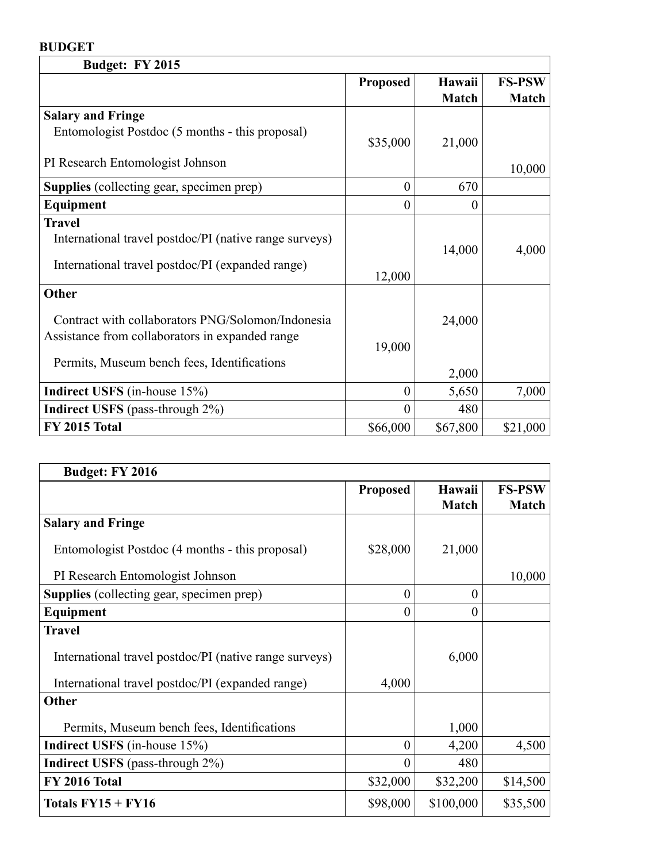# **BUDGET**

| <b>Budget: FY 2015</b>                                 |                 |              |               |
|--------------------------------------------------------|-----------------|--------------|---------------|
|                                                        | <b>Proposed</b> | Hawaii       | <b>FS-PSW</b> |
|                                                        |                 | <b>Match</b> | <b>Match</b>  |
| <b>Salary and Fringe</b>                               |                 |              |               |
| Entomologist Postdoc (5 months - this proposal)        |                 |              |               |
|                                                        | \$35,000        | 21,000       |               |
| PI Research Entomologist Johnson                       |                 |              | 10,000        |
| <b>Supplies</b> (collecting gear, specimen prep)       | $\theta$        | 670          |               |
| Equipment                                              | $\theta$        | $\theta$     |               |
| <b>Travel</b>                                          |                 |              |               |
| International travel postdoc/PI (native range surveys) |                 |              |               |
|                                                        |                 | 14,000       | 4,000         |
| International travel postdoc/PI (expanded range)       | 12,000          |              |               |
| Other                                                  |                 |              |               |
| Contract with collaborators PNG/Solomon/Indonesia      |                 | 24,000       |               |
| Assistance from collaborators in expanded range        |                 |              |               |
|                                                        | 19,000          |              |               |
| Permits, Museum bench fees, Identifications            |                 |              |               |
|                                                        |                 | 2,000        |               |
| <b>Indirect USFS</b> (in-house 15%)                    | $\overline{0}$  | 5,650        | 7,000         |
| <b>Indirect USFS</b> (pass-through 2%)                 | 0               | 480          |               |
| <b>FY 2015 Total</b>                                   | \$66,000        | \$67,800     | \$21,000      |

| <b>Budget: FY 2016</b>                                 |                 |                        |                               |
|--------------------------------------------------------|-----------------|------------------------|-------------------------------|
|                                                        | <b>Proposed</b> | Hawaii<br><b>Match</b> | <b>FS-PSW</b><br><b>Match</b> |
| <b>Salary and Fringe</b>                               |                 |                        |                               |
| Entomologist Postdoc (4 months - this proposal)        | \$28,000        | 21,000                 |                               |
| PI Research Entomologist Johnson                       |                 |                        | 10,000                        |
| <b>Supplies</b> (collecting gear, specimen prep)       | $\theta$        | $\theta$               |                               |
| Equipment                                              | $\overline{0}$  | $\theta$               |                               |
| <b>Travel</b>                                          |                 |                        |                               |
| International travel postdoc/PI (native range surveys) |                 | 6,000                  |                               |
| International travel postdoc/PI (expanded range)       | 4,000           |                        |                               |
| Other                                                  |                 |                        |                               |
| Permits, Museum bench fees, Identifications            |                 | 1,000                  |                               |
| <b>Indirect USFS</b> (in-house 15%)                    | $\theta$        | 4,200                  | 4,500                         |
| <b>Indirect USFS</b> (pass-through 2%)                 | $\theta$        | 480                    |                               |
| <b>FY 2016 Total</b>                                   | \$32,000        | \$32,200               | \$14,500                      |
| Totals $FY15 + FY16$                                   | \$98,000        | \$100,000              | \$35,500                      |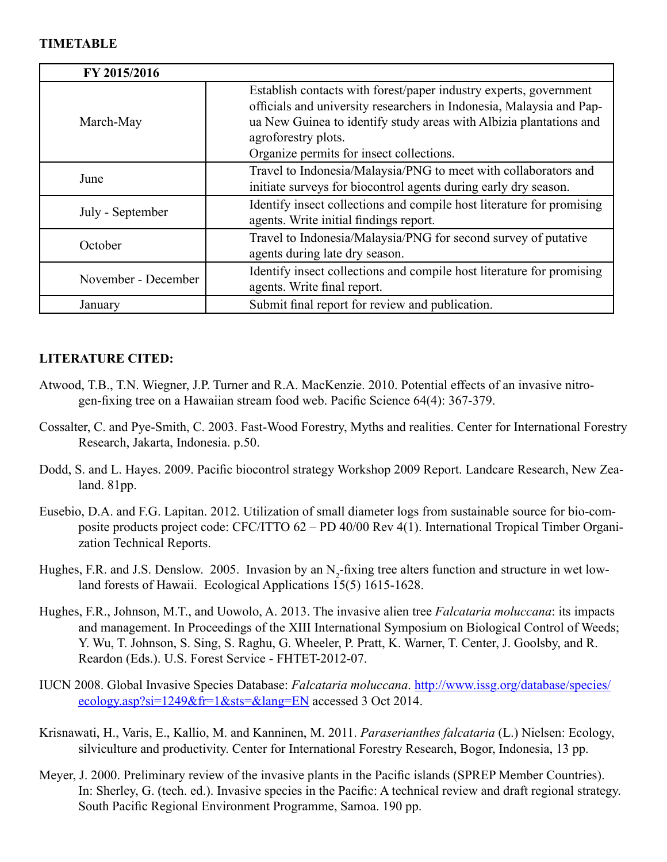#### **TIMETABLE**

| FY 2015/2016        |                                                                                                                                                                                                                                                                                    |
|---------------------|------------------------------------------------------------------------------------------------------------------------------------------------------------------------------------------------------------------------------------------------------------------------------------|
| March-May           | Establish contacts with forest/paper industry experts, government<br>officials and university researchers in Indonesia, Malaysia and Pap-<br>ua New Guinea to identify study areas with Albizia plantations and<br>agroforestry plots.<br>Organize permits for insect collections. |
| June                | Travel to Indonesia/Malaysia/PNG to meet with collaborators and<br>initiate surveys for biocontrol agents during early dry season.                                                                                                                                                 |
| July - September    | Identify insect collections and compile host literature for promising<br>agents. Write initial findings report.                                                                                                                                                                    |
| October             | Travel to Indonesia/Malaysia/PNG for second survey of putative<br>agents during late dry season.                                                                                                                                                                                   |
| November - December | Identify insect collections and compile host literature for promising<br>agents. Write final report.                                                                                                                                                                               |
| January             | Submit final report for review and publication.                                                                                                                                                                                                                                    |

# **LITERATURE CITED:**

- Atwood, T.B., T.N. Wiegner, J.P. Turner and R.A. MacKenzie. 2010. Potential effects of an invasive nitrogen-fixing tree on a Hawaiian stream food web. Pacific Science 64(4): 367-379.
- Cossalter, C. and Pye-Smith, C. 2003. Fast-Wood Forestry, Myths and realities. Center for International Forestry Research, Jakarta, Indonesia. p.50.
- Dodd, S. and L. Hayes. 2009. Pacific biocontrol strategy Workshop 2009 Report. Landcare Research, New Zealand. 81pp.
- Eusebio, D.A. and F.G. Lapitan. 2012. Utilization of small diameter logs from sustainable source for bio-composite products project code: CFC/ITTO 62 – PD 40/00 Rev 4(1). International Tropical Timber Organization Technical Reports.
- Hughes, F.R. and J.S. Denslow. 2005. Invasion by an  $N_2$ -fixing tree alters function and structure in wet lowland forests of Hawaii. Ecological Applications 15(5) 1615-1628.
- Hughes, F.R., Johnson, M.T., and Uowolo, A. 2013. The invasive alien tree *Falcataria moluccana*: its impacts and management. In Proceedings of the XIII International Symposium on Biological Control of Weeds; Y. Wu, T. Johnson, S. Sing, S. Raghu, G. Wheeler, P. Pratt, K. Warner, T. Center, J. Goolsby, and R. Reardon (Eds.). U.S. Forest Service - FHTET-2012-07.
- IUCN 2008. Global Invasive Species Database: *Falcataria moluccana*. [http://www.issg.org/database/species/](http://www.issg.org/database/species/ecology.asp?si=1249&fr=1&sts=&lang=EN) [ecology.asp?si=1249&fr=1&sts=&lang=EN](http://www.issg.org/database/species/ecology.asp?si=1249&fr=1&sts=&lang=EN) accessed 3 Oct 2014.
- Krisnawati, H., Varis, E., Kallio, M. and Kanninen, M. 2011. *Paraserianthes falcataria* (L.) Nielsen: Ecology, silviculture and productivity. Center for International Forestry Research, Bogor, Indonesia, 13 pp.
- Meyer, J. 2000. Preliminary review of the invasive plants in the Pacific islands (SPREP Member Countries). In: Sherley, G. (tech. ed.). Invasive species in the Pacific: A technical review and draft regional strategy. South Pacific Regional Environment Programme, Samoa. 190 pp.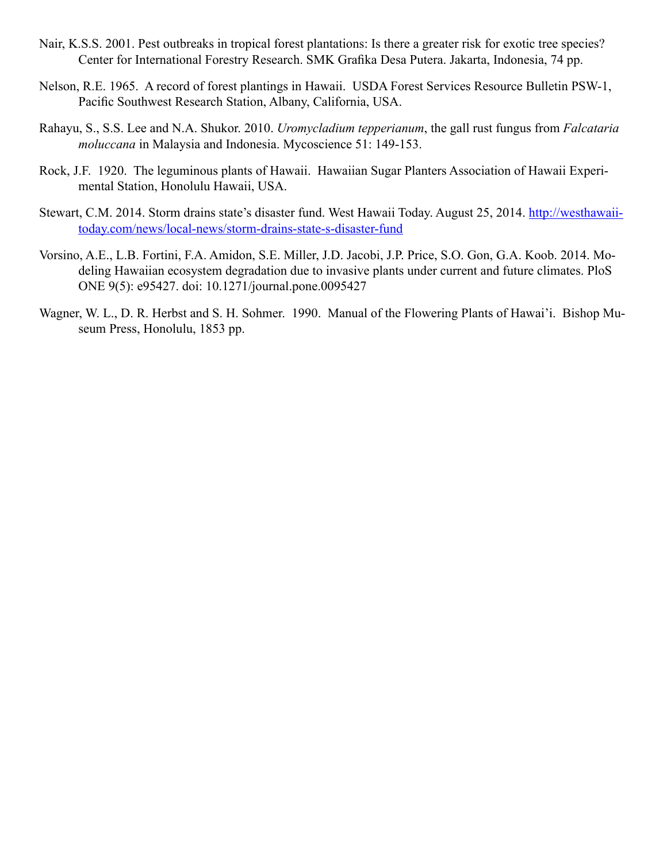- Nair, K.S.S. 2001. Pest outbreaks in tropical forest plantations: Is there a greater risk for exotic tree species? Center for International Forestry Research. SMK Grafika Desa Putera. Jakarta, Indonesia, 74 pp.
- Nelson, R.E. 1965. A record of forest plantings in Hawaii. USDA Forest Services Resource Bulletin PSW-1, Pacific Southwest Research Station, Albany, California, USA.
- Rahayu, S., S.S. Lee and N.A. Shukor. 2010. *Uromycladium tepperianum*, the gall rust fungus from *Falcataria moluccana* in Malaysia and Indonesia. Mycoscience 51: 149-153.
- Rock, J.F. 1920. The leguminous plants of Hawaii. Hawaiian Sugar Planters Association of Hawaii Experimental Station, Honolulu Hawaii, USA.
- Stewart, C.M. 2014. Storm drains state's disaster fund. West Hawaii Today. August 25, 2014. [http://westhawaii](http://westhawaiitoday.com/news/local-news/storm-drains-state-s-disaster-fund)[today.com/news/local-news/storm-drains-state-s-disaster-fund](http://westhawaiitoday.com/news/local-news/storm-drains-state-s-disaster-fund)
- Vorsino, A.E., L.B. Fortini, F.A. Amidon, S.E. Miller, J.D. Jacobi, J.P. Price, S.O. Gon, G.A. Koob. 2014. Modeling Hawaiian ecosystem degradation due to invasive plants under current and future climates. PloS ONE 9(5): e95427. doi: 10.1271/journal.pone.0095427
- Wagner, W. L., D. R. Herbst and S. H. Sohmer. 1990. Manual of the Flowering Plants of Hawai'i. Bishop Museum Press, Honolulu, 1853 pp.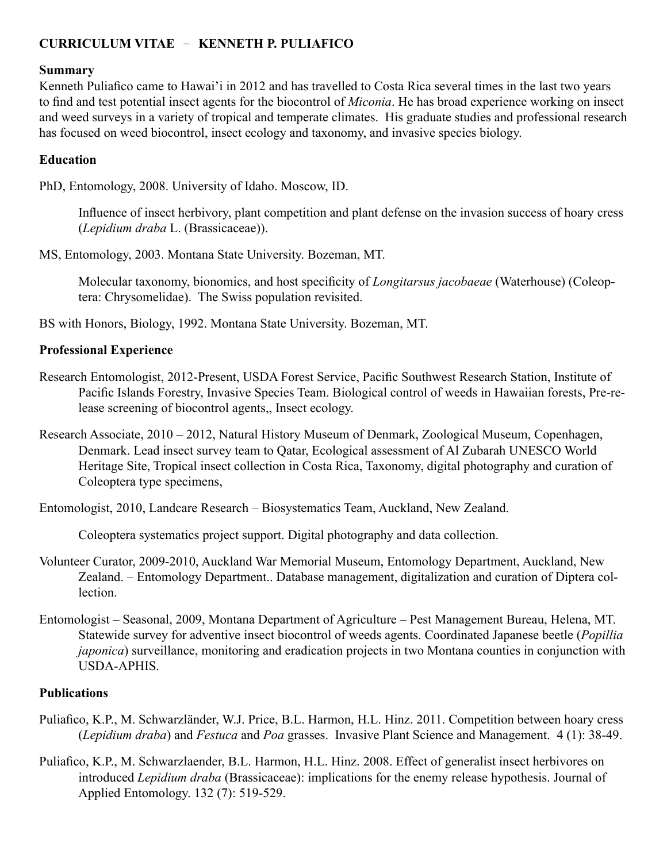# **CURRICULUM VITAE** – **KENNETH P. PULIAFICO**

## **Summary**

Kenneth Puliafico came to Hawai'i in 2012 and has travelled to Costa Rica several times in the last two years to find and test potential insect agents for the biocontrol of *Miconia*. He has broad experience working on insect and weed surveys in a variety of tropical and temperate climates. His graduate studies and professional research has focused on weed biocontrol, insect ecology and taxonomy, and invasive species biology.

# **Education**

PhD, Entomology, 2008. University of Idaho. Moscow, ID.

Influence of insect herbivory, plant competition and plant defense on the invasion success of hoary cress (*Lepidium draba* L. (Brassicaceae)).

MS, Entomology, 2003. Montana State University. Bozeman, MT.

Molecular taxonomy, bionomics, and host specificity of *Longitarsus jacobaeae* (Waterhouse) (Coleoptera: Chrysomelidae). The Swiss population revisited.

BS with Honors, Biology, 1992. Montana State University. Bozeman, MT.

# **Professional Experience**

- Research Entomologist, 2012-Present, USDA Forest Service, Pacific Southwest Research Station, Institute of Pacific Islands Forestry, Invasive Species Team. Biological control of weeds in Hawaiian forests, Pre-release screening of biocontrol agents,, Insect ecology.
- Research Associate, 2010 2012, Natural History Museum of Denmark, Zoological Museum, Copenhagen, Denmark. Lead insect survey team to Qatar, Ecological assessment of Al Zubarah UNESCO World Heritage Site, Tropical insect collection in Costa Rica, Taxonomy, digital photography and curation of Coleoptera type specimens,

Entomologist, 2010, Landcare Research – Biosystematics Team, Auckland, New Zealand.

Coleoptera systematics project support. Digital photography and data collection.

- Volunteer Curator, 2009-2010, Auckland War Memorial Museum, Entomology Department, Auckland, New Zealand. – Entomology Department.. Database management, digitalization and curation of Diptera collection.
- Entomologist Seasonal, 2009, Montana Department of Agriculture Pest Management Bureau, Helena, MT. Statewide survey for adventive insect biocontrol of weeds agents. Coordinated Japanese beetle (*Popillia japonica*) surveillance, monitoring and eradication projects in two Montana counties in conjunction with USDA-APHIS.

# **Publications**

- Puliafico, K.P., M. Schwarzländer, W.J. Price, B.L. Harmon, H.L. Hinz. 2011. Competition between hoary cress (*Lepidium draba*) and *Festuca* and *Poa* grasses. Invasive Plant Science and Management. 4 (1): 38-49.
- Puliafico, K.P., M. Schwarzlaender, B.L. Harmon, H.L. Hinz. 2008. Effect of generalist insect herbivores on introduced *Lepidium draba* (Brassicaceae): implications for the enemy release hypothesis. Journal of Applied Entomology. 132 (7): 519-529.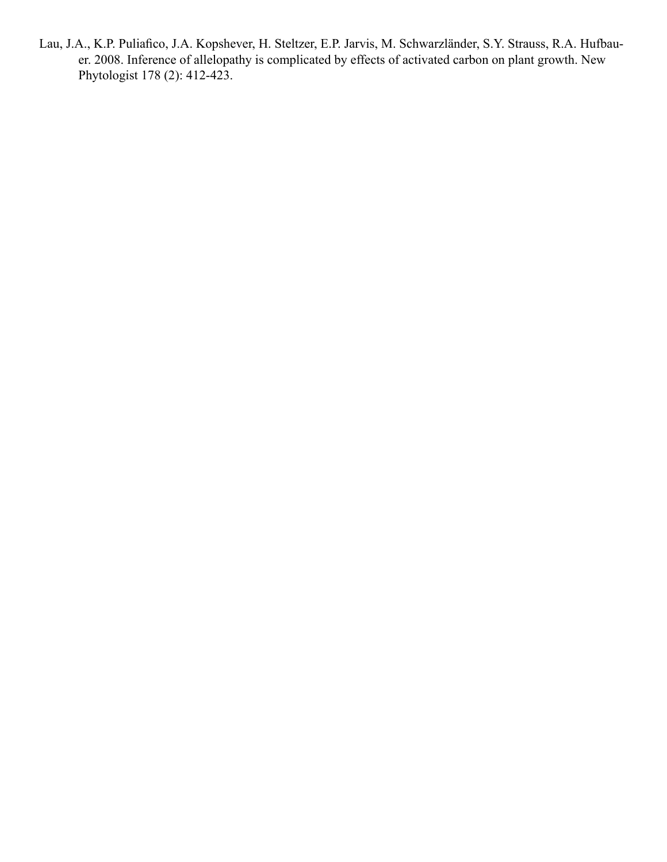Lau, J.A., K.P. Puliafico, J.A. Kopshever, H. Steltzer, E.P. Jarvis, M. Schwarzländer, S.Y. Strauss, R.A. Hufbauer. 2008. Inference of allelopathy is complicated by effects of activated carbon on plant growth. New Phytologist 178 (2): 412-423.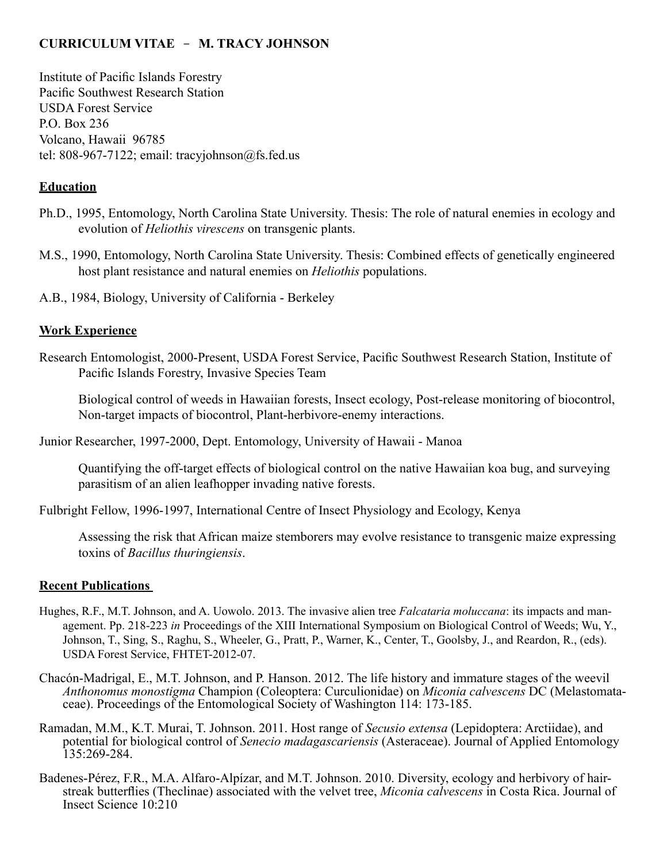# **CURRICULUM VITAE** - **M. TRACY JOHNSON**

Institute of Pacific Islands Forestry Pacific Southwest Research Station USDA Forest Service P.O. Box 236 Volcano, Hawaii 96785 tel: 808-967-7122; email: tracyjohnson@fs.fed.us

# **Education**

- Ph.D., 1995, Entomology, North Carolina State University. Thesis: The role of natural enemies in ecology and evolution of *Heliothis virescens* on transgenic plants.
- M.S., 1990, Entomology, North Carolina State University. Thesis: Combined effects of genetically engineered host plant resistance and natural enemies on *Heliothis* populations.

A.B., 1984, Biology, University of California - Berkeley

## **Work Experience**

Research Entomologist, 2000-Present, USDA Forest Service, Pacific Southwest Research Station, Institute of Pacific Islands Forestry, Invasive Species Team

Biological control of weeds in Hawaiian forests, Insect ecology, Post-release monitoring of biocontrol, Non-target impacts of biocontrol, Plant-herbivore-enemy interactions.

Junior Researcher, 1997-2000, Dept. Entomology, University of Hawaii - Manoa

Quantifying the off-target effects of biological control on the native Hawaiian koa bug, and surveying parasitism of an alien leafhopper invading native forests.

Fulbright Fellow, 1996-1997, International Centre of Insect Physiology and Ecology, Kenya

Assessing the risk that African maize stemborers may evolve resistance to transgenic maize expressing toxins of *Bacillus thuringiensis*.

## **Recent Publications**

- Hughes, R.F., M.T. Johnson, and A. Uowolo. 2013. The invasive alien tree *Falcataria moluccana*: its impacts and management. Pp. 218-223 *in* Proceedings of the XIII International Symposium on Biological Control of Weeds; Wu, Y., Johnson, T., Sing, S., Raghu, S., Wheeler, G., Pratt, P., Warner, K., Center, T., Goolsby, J., and Reardon, R., (eds). USDA Forest Service, FHTET-2012-07.
- Chacón-Madrigal, E., M.T. Johnson, and P. Hanson. 2012. The life history and immature stages of the weevil *Anthonomus monostigma* Champion (Coleoptera: Curculionidae) on *Miconia calvescens* DC (Melastomata- ceae). Proceedings of the Entomological Society of Washington 114: 173-185.
- Ramadan, M.M., K.T. Murai, T. Johnson. 2011. Host range of *Secusio extensa* (Lepidoptera: Arctiidae), and potential for biological control of *Senecio madagascariensis* (Asteraceae). Journal of Applied Entomology 135:269-284.
- Badenes-Pérez, F.R., M.A. Alfaro-Alpízar, and M.T. Johnson. 2010. Diversity, ecology and herbivory of hairstreak butterflies (Theclinae) associated with the velvet tree, *Miconia calvescens* in Costa Rica. Journal of Insect Science 10:210